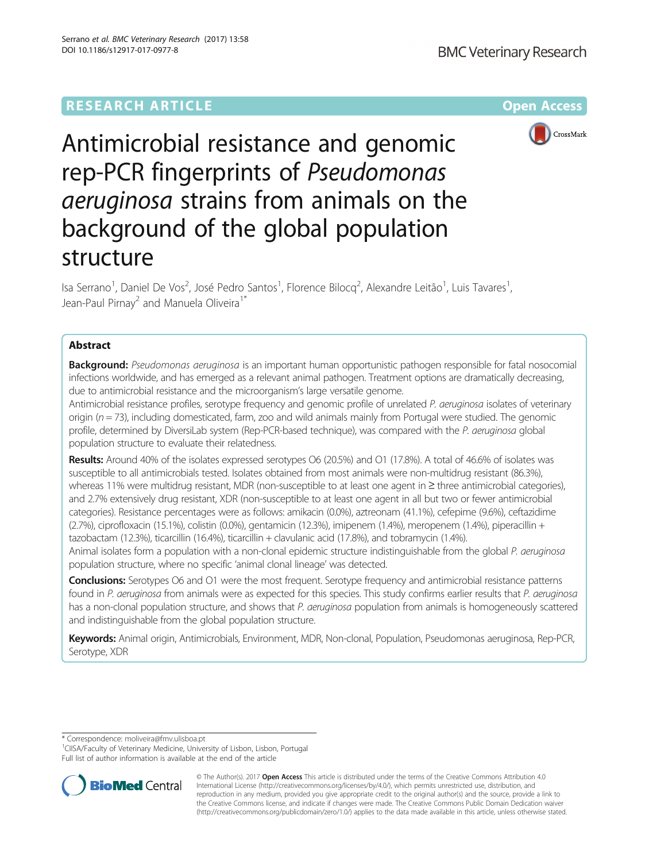# **RESEARCH ARTICLE Example 2014 12:30 The Contract of Contract Article 2014**



Antimicrobial resistance and genomic rep-PCR fingerprints of Pseudomonas aeruginosa strains from animals on the background of the global population structure

Isa Serrano<sup>1</sup>, Daniel De Vos<sup>2</sup>, José Pedro Santos<sup>1</sup>, Florence Bilocq<sup>2</sup>, Alexandre Leitão<sup>1</sup>, Luis Tavares<sup>1</sup> , Jean-Paul Pirnay<sup>2</sup> and Manuela Oliveira<sup>1\*</sup>

# Abstract

**Background:** Pseudomonas aeruginosa is an important human opportunistic pathogen responsible for fatal nosocomial infections worldwide, and has emerged as a relevant animal pathogen. Treatment options are dramatically decreasing, due to antimicrobial resistance and the microorganism's large versatile genome.

Antimicrobial resistance profiles, serotype frequency and genomic profile of unrelated P. aeruginosa isolates of veterinary origin ( $n = 73$ ), including domesticated, farm, zoo and wild animals mainly from Portugal were studied. The genomic profile, determined by DiversiLab system (Rep-PCR-based technique), was compared with the P. aeruginosa global population structure to evaluate their relatedness.

Results: Around 40% of the isolates expressed serotypes O6 (20.5%) and O1 (17.8%). A total of 46.6% of isolates was susceptible to all antimicrobials tested. Isolates obtained from most animals were non-multidrug resistant (86.3%), whereas 11% were multidrug resistant, MDR (non-susceptible to at least one agent in ≥ three antimicrobial categories), and 2.7% extensively drug resistant, XDR (non-susceptible to at least one agent in all but two or fewer antimicrobial categories). Resistance percentages were as follows: amikacin (0.0%), aztreonam (41.1%), cefepime (9.6%), ceftazidime (2.7%), ciprofloxacin (15.1%), colistin (0.0%), gentamicin (12.3%), imipenem (1.4%), meropenem (1.4%), piperacillin + tazobactam (12.3%), ticarcillin (16.4%), ticarcillin + clavulanic acid (17.8%), and tobramycin (1.4%).

Animal isolates form a population with a non-clonal epidemic structure indistinguishable from the global P. aeruginosa population structure, where no specific 'animal clonal lineage' was detected.

Conclusions: Serotypes O6 and O1 were the most frequent. Serotype frequency and antimicrobial resistance patterns found in P. aeruginosa from animals were as expected for this species. This study confirms earlier results that P. aeruginosa has a non-clonal population structure, and shows that P. aeruginosa population from animals is homogeneously scattered and indistinguishable from the global population structure.

Keywords: Animal origin, Antimicrobials, Environment, MDR, Non-clonal, Population, Pseudomonas aeruginosa, Rep-PCR, Serotype, XDR

\* Correspondence: [moliveira@fmv.ulisboa.pt](mailto:moliveira@fmv.ulisboa.pt) <sup>1</sup>

<sup>1</sup>CIISA/Faculty of Veterinary Medicine, University of Lisbon, Lisbon, Portugal Full list of author information is available at the end of the article



© The Author(s). 2017 **Open Access** This article is distributed under the terms of the Creative Commons Attribution 4.0 International License [\(http://creativecommons.org/licenses/by/4.0/](http://creativecommons.org/licenses/by/4.0/)), which permits unrestricted use, distribution, and reproduction in any medium, provided you give appropriate credit to the original author(s) and the source, provide a link to the Creative Commons license, and indicate if changes were made. The Creative Commons Public Domain Dedication waiver [\(http://creativecommons.org/publicdomain/zero/1.0/](http://creativecommons.org/publicdomain/zero/1.0/)) applies to the data made available in this article, unless otherwise stated.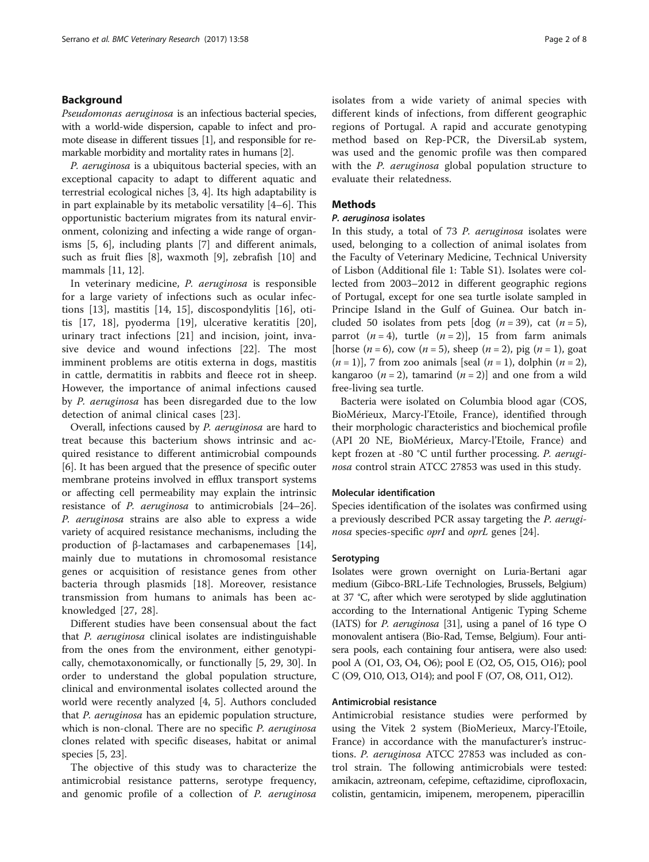### Background

Pseudomonas aeruginosa is an infectious bacterial species, with a world-wide dispersion, capable to infect and promote disease in different tissues [\[1\]](#page-6-0), and responsible for remarkable morbidity and mortality rates in humans [\[2\]](#page-6-0).

P. aeruginosa is a ubiquitous bacterial species, with an exceptional capacity to adapt to different aquatic and terrestrial ecological niches [\[3](#page-6-0), [4](#page-6-0)]. Its high adaptability is in part explainable by its metabolic versatility [[4](#page-6-0)–[6](#page-6-0)]. This opportunistic bacterium migrates from its natural environment, colonizing and infecting a wide range of organisms [[5, 6\]](#page-6-0), including plants [\[7\]](#page-6-0) and different animals, such as fruit flies [[8\]](#page-6-0), waxmoth [\[9](#page-6-0)], zebrafish [[10\]](#page-6-0) and mammals [[11](#page-6-0), [12](#page-6-0)].

In veterinary medicine, P. aeruginosa is responsible for a large variety of infections such as ocular infections [[13\]](#page-6-0), mastitis [[14](#page-6-0), [15\]](#page-6-0), discospondylitis [[16\]](#page-6-0), otitis [[17, 18\]](#page-6-0), pyoderma [\[19](#page-6-0)], ulcerative keratitis [\[20](#page-6-0)], urinary tract infections [[21\]](#page-6-0) and incision, joint, invasive device and wound infections [\[22](#page-6-0)]. The most imminent problems are otitis externa in dogs, mastitis in cattle, dermatitis in rabbits and fleece rot in sheep. However, the importance of animal infections caused by P. aeruginosa has been disregarded due to the low detection of animal clinical cases [\[23](#page-6-0)].

Overall, infections caused by P. aeruginosa are hard to treat because this bacterium shows intrinsic and acquired resistance to different antimicrobial compounds [[6\]](#page-6-0). It has been argued that the presence of specific outer membrane proteins involved in efflux transport systems or affecting cell permeability may explain the intrinsic resistance of P. aeruginosa to antimicrobials [[24](#page-6-0)–[26](#page-6-0)]. P. aeruginosa strains are also able to express a wide variety of acquired resistance mechanisms, including the production of β-lactamases and carbapenemases [\[14](#page-6-0)], mainly due to mutations in chromosomal resistance genes or acquisition of resistance genes from other bacteria through plasmids [\[18](#page-6-0)]. Moreover, resistance transmission from humans to animals has been acknowledged [[27, 28\]](#page-6-0).

Different studies have been consensual about the fact that P. aeruginosa clinical isolates are indistinguishable from the ones from the environment, either genotypically, chemotaxonomically, or functionally [[5](#page-6-0), [29, 30](#page-6-0)]. In order to understand the global population structure, clinical and environmental isolates collected around the world were recently analyzed [[4, 5\]](#page-6-0). Authors concluded that P. aeruginosa has an epidemic population structure, which is non-clonal. There are no specific P. aeruginosa clones related with specific diseases, habitat or animal species [\[5](#page-6-0), [23](#page-6-0)].

The objective of this study was to characterize the antimicrobial resistance patterns, serotype frequency, and genomic profile of a collection of P. aeruginosa isolates from a wide variety of animal species with different kinds of infections, from different geographic regions of Portugal. A rapid and accurate genotyping method based on Rep-PCR, the DiversiLab system, was used and the genomic profile was then compared with the *P. aeruginosa* global population structure to evaluate their relatedness.

### **Methods**

### P. aeruginosa isolates

In this study, a total of 73 P. aeruginosa isolates were used, belonging to a collection of animal isolates from the Faculty of Veterinary Medicine, Technical University of Lisbon (Additional file [1](#page-5-0): Table S1). Isolates were collected from 2003–2012 in different geographic regions of Portugal, except for one sea turtle isolate sampled in Principe Island in the Gulf of Guinea. Our batch included 50 isolates from pets  $\lceil \log (n = 39) \rceil$ , cat  $(n = 5)$ , parrot  $(n = 4)$ , turtle  $(n = 2)$ ], 15 from farm animals [horse (*n* = 6), cow (*n* = 5), sheep (*n* = 2), pig (*n* = 1), goat  $(n = 1)$ ], 7 from zoo animals [seal  $(n = 1)$ , dolphin  $(n = 2)$ , kangaroo ( $n = 2$ ), tamarind ( $n = 2$ ) and one from a wild free-living sea turtle.

Bacteria were isolated on Columbia blood agar (COS, BioMérieux, Marcy-l'Etoile, France), identified through their morphologic characteristics and biochemical profile (API 20 NE, BioMérieux, Marcy-l'Etoile, France) and kept frozen at -80 °C until further processing. P. aeruginosa control strain ATCC 27853 was used in this study.

### Molecular identification

Species identification of the isolates was confirmed using a previously described PCR assay targeting the P. aerugi-nosa species-specific oprI and oprL genes [[24\]](#page-6-0).

### **Serotyping**

Isolates were grown overnight on Luria-Bertani agar medium (Gibco-BRL-Life Technologies, Brussels, Belgium) at 37 °C, after which were serotyped by slide agglutination according to the International Antigenic Typing Scheme (IATS) for P. aeruginosa [\[31](#page-6-0)], using a panel of 16 type O monovalent antisera (Bio-Rad, Temse, Belgium). Four antisera pools, each containing four antisera, were also used: pool A (O1, O3, O4, O6); pool E (O2, O5, O15, O16); pool C (O9, O10, O13, O14); and pool F (O7, O8, O11, O12).

### Antimicrobial resistance

Antimicrobial resistance studies were performed by using the Vitek 2 system (BioMerieux, Marcy-l'Etoile, France) in accordance with the manufacturer's instructions. P. aeruginosa ATCC 27853 was included as control strain. The following antimicrobials were tested: amikacin, aztreonam, cefepime, ceftazidime, ciprofloxacin, colistin, gentamicin, imipenem, meropenem, piperacillin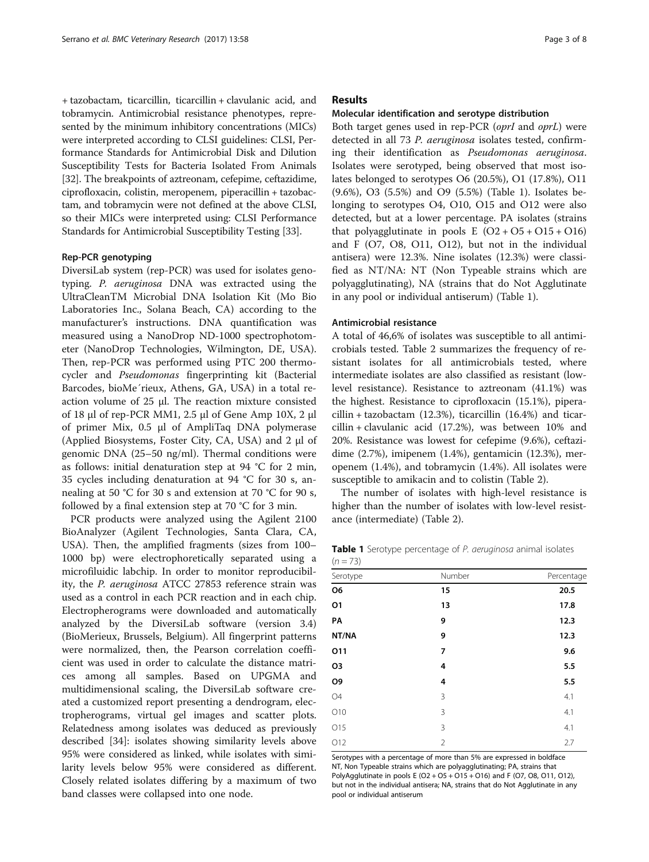<span id="page-2-0"></span>+ tazobactam, ticarcillin, ticarcillin + clavulanic acid, and tobramycin. Antimicrobial resistance phenotypes, represented by the minimum inhibitory concentrations (MICs) were interpreted according to CLSI guidelines: CLSI, Performance Standards for Antimicrobial Disk and Dilution Susceptibility Tests for Bacteria Isolated From Animals [[32](#page-6-0)]. The breakpoints of aztreonam, cefepime, ceftazidime, ciprofloxacin, colistin, meropenem, piperacillin + tazobactam, and tobramycin were not defined at the above CLSI, so their MICs were interpreted using: CLSI Performance Standards for Antimicrobial Susceptibility Testing [\[33\]](#page-6-0).

#### Rep-PCR genotyping

DiversiLab system (rep-PCR) was used for isolates genotyping. P. aeruginosa DNA was extracted using the UltraCleanTM Microbial DNA Isolation Kit (Mo Bio Laboratories Inc., Solana Beach, CA) according to the manufacturer's instructions. DNA quantification was measured using a NanoDrop ND-1000 spectrophotometer (NanoDrop Technologies, Wilmington, DE, USA). Then, rep-PCR was performed using PTC 200 thermocycler and Pseudomonas fingerprinting kit (Bacterial Barcodes, bioMe´rieux, Athens, GA, USA) in a total reaction volume of 25 μl. The reaction mixture consisted of 18 μl of rep-PCR MM1, 2.5 μl of Gene Amp 10X, 2 μl of primer Mix, 0.5 μl of AmpliTaq DNA polymerase (Applied Biosystems, Foster City, CA, USA) and 2 μl of genomic DNA (25–50 ng/ml). Thermal conditions were as follows: initial denaturation step at 94 °C for 2 min, 35 cycles including denaturation at 94 °C for 30 s, annealing at 50 °C for 30 s and extension at 70 °C for 90 s, followed by a final extension step at 70 °C for 3 min.

PCR products were analyzed using the Agilent 2100 BioAnalyzer (Agilent Technologies, Santa Clara, CA, USA). Then, the amplified fragments (sizes from 100– 1000 bp) were electrophoretically separated using a microfiluidic labchip. In order to monitor reproducibility, the P. aeruginosa ATCC 27853 reference strain was used as a control in each PCR reaction and in each chip. Electropherograms were downloaded and automatically analyzed by the DiversiLab software (version 3.4) (BioMerieux, Brussels, Belgium). All fingerprint patterns were normalized, then, the Pearson correlation coefficient was used in order to calculate the distance matrices among all samples. Based on UPGMA and multidimensional scaling, the DiversiLab software created a customized report presenting a dendrogram, electropherograms, virtual gel images and scatter plots. Relatedness among isolates was deduced as previously described [[34](#page-6-0)]: isolates showing similarity levels above 95% were considered as linked, while isolates with similarity levels below 95% were considered as different. Closely related isolates differing by a maximum of two band classes were collapsed into one node.

### Results

### Molecular identification and serotype distribution

Both target genes used in rep-PCR (oprI and oprL) were detected in all 73 P. aeruginosa isolates tested, confirming their identification as Pseudomonas aeruginosa. Isolates were serotyped, being observed that most isolates belonged to serotypes O6 (20.5%), O1 (17.8%), O11 (9.6%), O3 (5.5%) and O9 (5.5%) (Table 1). Isolates belonging to serotypes O4, O10, O15 and O12 were also detected, but at a lower percentage. PA isolates (strains that polyagglutinate in pools E  $(O2 + O5 + O15 + O16)$ and F (O7, O8, O11, O12), but not in the individual antisera) were 12.3%. Nine isolates (12.3%) were classified as NT/NA: NT (Non Typeable strains which are polyagglutinating), NA (strains that do Not Agglutinate in any pool or individual antiserum) (Table 1).

### Antimicrobial resistance

A total of 46,6% of isolates was susceptible to all antimicrobials tested. Table [2](#page-3-0) summarizes the frequency of resistant isolates for all antimicrobials tested, where intermediate isolates are also classified as resistant (lowlevel resistance). Resistance to aztreonam (41.1%) was the highest. Resistance to ciprofloxacin (15.1%), piperacillin + tazobactam (12.3%), ticarcillin (16.4%) and ticarcillin + clavulanic acid (17.2%), was between 10% and 20%. Resistance was lowest for cefepime (9.6%), ceftazidime (2.7%), imipenem (1.4%), gentamicin (12.3%), meropenem (1.4%), and tobramycin (1.4%). All isolates were susceptible to amikacin and to colistin (Table [2](#page-3-0)).

The number of isolates with high-level resistance is higher than the number of isolates with low-level resistance (intermediate) (Table [2](#page-3-0)).

Table 1 Serotype percentage of P. aeruginosa animal isolates  $(n = 73)$ 

| Serotype | Number         | Percentage |  |  |
|----------|----------------|------------|--|--|
| O6       | 15             | 20.5       |  |  |
| 01       | 13             | 17.8       |  |  |
| PA       | 9              | 12.3       |  |  |
| NT/NA    | 9              | 12.3       |  |  |
| 011      | 7              | 9.6        |  |  |
| O3       | 4              | 5.5        |  |  |
| Ο9       | 4              | 5.5        |  |  |
| 04       | 3              | 4.1        |  |  |
| O10      | 3              | 4.1        |  |  |
| 015      | 3              | 4.1        |  |  |
| 012      | $\overline{2}$ | 2.7        |  |  |

Serotypes with a percentage of more than 5% are expressed in boldface NT, Non Typeable strains which are polyagglutinating; PA, strains that PolyAgglutinate in pools E (O2 + O5 + O15 + O16) and F (O7, O8, O11, O12), but not in the individual antisera; NA, strains that do Not Agglutinate in any pool or individual antiserum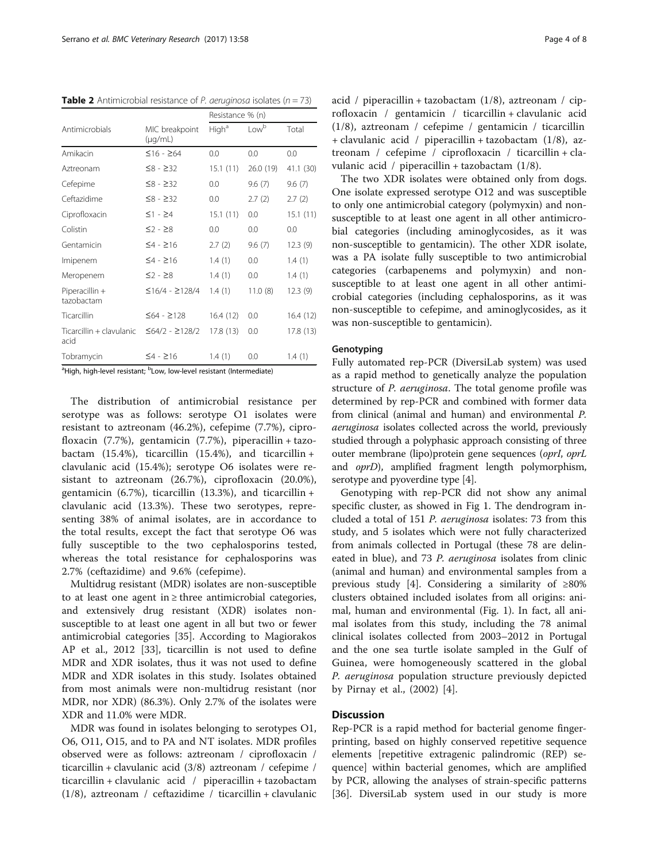<span id="page-3-0"></span>**Table 2** Antimicrobial resistance of *P. aeruginosa* isolates ( $n = 73$ )

|                                  | MIC breakpoint<br>$(\mu q/mL)$ | Resistance % (n)  |           |           |
|----------------------------------|--------------------------------|-------------------|-----------|-----------|
| Antimicrobials                   |                                | High <sup>a</sup> | Lowb      | Total     |
| Amikacin                         | $≤16 - ≥64$                    | 0.0               | 0.0       | 0.0       |
| Aztreonam                        | $≤8 - ≥32$                     | 15.1(11)          | 26.0 (19) | 41.1 (30) |
| Cefepime                         | $≤8 - ≥32$                     | 0.0               | 9.6(7)    | 9.6(7)    |
| Ceftazidime                      | $≤8 - ≥32$                     | 0.0               | 2.7(2)    | 2.7(2)    |
| Ciprofloxacin                    | $\leq$ 1 - $\geq$ 4            | 15.1(11)          | 0.0       | 15.1(11)  |
| Colistin                         | $\leq$ 2 - $\geq$ 8            | 0.0               | 0.0       | 0.0       |
| Gentamicin                       | $54 - 216$                     | 2.7(2)            | 9.6(7)    | 12.3(9)   |
| Imipenem                         | $54 - 216$                     | 1.4(1)            | 0.0       | 1.4(1)    |
| Meropenem                        | $\leq$ 2 - $\geq$ 8            | 1.4(1)            | 0.0       | 1.4(1)    |
| Piperacillin +<br>tazobactam     | $≤16/4 - ≥128/4$               | 1.4(1)            | 11.0(8)   | 12.3(9)   |
| Ticarcillin                      | $≤64 - ≥128$                   | 16.4(12)          | 0.0       | 16.4 (12) |
| Ticarcillin + clavulanic<br>acid | $≤64/2 - ≥128/2$               | 17.8 (13)         | 0.0       | 17.8 (13) |
| Tobramycin                       | $54 - 216$                     | 1.4(1)            | 0.0       | 1.4(1)    |
|                                  | ь.                             |                   |           |           |

<sup>a</sup>High, high-level resistant; <sup>b</sup>Low, low-level resistant (Intermediate)

The distribution of antimicrobial resistance per serotype was as follows: serotype O1 isolates were resistant to aztreonam (46.2%), cefepime (7.7%), ciprofloxacin (7.7%), gentamicin (7.7%), piperacillin + tazobactam  $(15.4\%)$ , ticarcillin  $(15.4\%)$ , and ticarcillin + clavulanic acid (15.4%); serotype O6 isolates were resistant to aztreonam (26.7%), ciprofloxacin (20.0%), gentamicin (6.7%), ticarcillin (13.3%), and ticarcillin + clavulanic acid (13.3%). These two serotypes, representing 38% of animal isolates, are in accordance to the total results, except the fact that serotype O6 was fully susceptible to the two cephalosporins tested, whereas the total resistance for cephalosporins was 2.7% (ceftazidime) and 9.6% (cefepime).

Multidrug resistant (MDR) isolates are non-susceptible to at least one agent in  $\geq$  three antimicrobial categories, and extensively drug resistant (XDR) isolates nonsusceptible to at least one agent in all but two or fewer antimicrobial categories [[35](#page-6-0)]. According to Magiorakos AP et al., 2012 [[33](#page-6-0)], ticarcillin is not used to define MDR and XDR isolates, thus it was not used to define MDR and XDR isolates in this study. Isolates obtained from most animals were non-multidrug resistant (nor MDR, nor XDR) (86.3%). Only 2.7% of the isolates were XDR and 11.0% were MDR.

MDR was found in isolates belonging to serotypes O1, O6, O11, O15, and to PA and NT isolates. MDR profiles observed were as follows: aztreonam / ciprofloxacin / ticarcillin + clavulanic acid (3/8) aztreonam / cefepime / ticarcillin + clavulanic acid / piperacillin + tazobactam  $(1/8)$ , aztreonam / ceftazidime / ticarcillin + clavulanic acid / piperacillin + tazobactam  $(1/8)$ , aztreonam / ciprofloxacin / gentamicin / ticarcillin + clavulanic acid (1/8), aztreonam / cefepime / gentamicin / ticarcillin + clavulanic acid / piperacillin + tazobactam (1/8), aztreonam / cefepime / ciprofloxacin / ticarcillin + clavulanic acid / piperacillin + tazobactam (1/8).

The two XDR isolates were obtained only from dogs. One isolate expressed serotype O12 and was susceptible to only one antimicrobial category (polymyxin) and nonsusceptible to at least one agent in all other antimicrobial categories (including aminoglycosides, as it was non-susceptible to gentamicin). The other XDR isolate, was a PA isolate fully susceptible to two antimicrobial categories (carbapenems and polymyxin) and nonsusceptible to at least one agent in all other antimicrobial categories (including cephalosporins, as it was non-susceptible to cefepime, and aminoglycosides, as it was non-susceptible to gentamicin).

### Genotyping

Fully automated rep-PCR (DiversiLab system) was used as a rapid method to genetically analyze the population structure of P. aeruginosa. The total genome profile was determined by rep-PCR and combined with former data from clinical (animal and human) and environmental P. aeruginosa isolates collected across the world, previously studied through a polyphasic approach consisting of three outer membrane (lipo)protein gene sequences (oprI, oprL and oprD), amplified fragment length polymorphism, serotype and pyoverdine type [\[4](#page-6-0)].

Genotyping with rep-PCR did not show any animal specific cluster, as showed in Fig [1](#page-4-0). The dendrogram included a total of 151 P. aeruginosa isolates: 73 from this study, and 5 isolates which were not fully characterized from animals collected in Portugal (these 78 are delineated in blue), and 73 P. aeruginosa isolates from clinic (animal and human) and environmental samples from a previous study [\[4](#page-6-0)]. Considering a similarity of ≥80% clusters obtained included isolates from all origins: animal, human and environmental (Fig. [1\)](#page-4-0). In fact, all animal isolates from this study, including the 78 animal clinical isolates collected from 2003–2012 in Portugal and the one sea turtle isolate sampled in the Gulf of Guinea, were homogeneously scattered in the global P. aeruginosa population structure previously depicted by Pirnay et al., (2002) [[4\]](#page-6-0).

### **Discussion**

Rep-PCR is a rapid method for bacterial genome fingerprinting, based on highly conserved repetitive sequence elements [repetitive extragenic palindromic (REP) sequence] within bacterial genomes, which are amplified by PCR, allowing the analyses of strain-specific patterns [[36\]](#page-6-0). DiversiLab system used in our study is more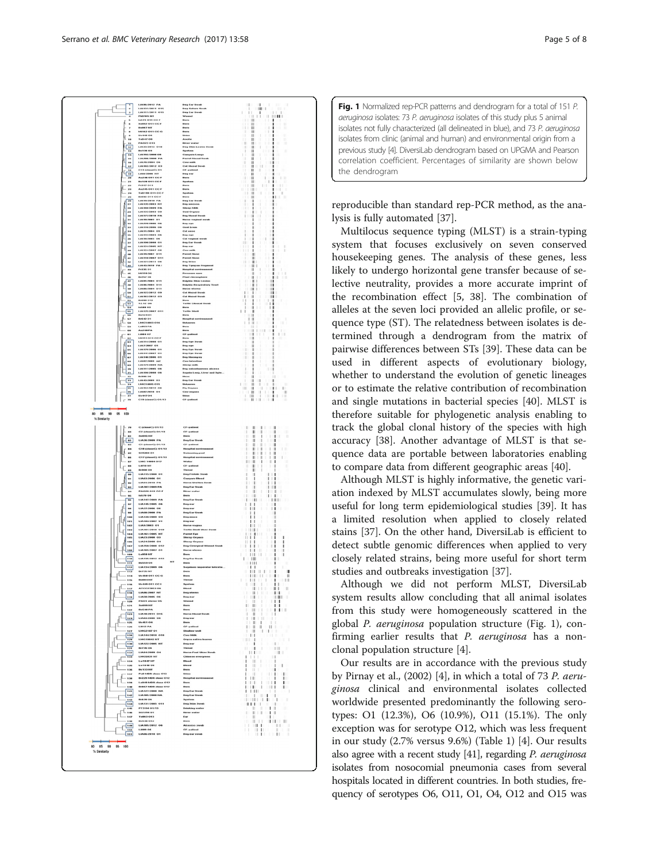<span id="page-4-0"></span>

Fig. 1 Normalized rep-PCR patterns and dendrogram for a total of 151 P. aeruginosa isolates: 73 P. aeruginosa isolates of this study plus 5 animal isolates not fully characterized (all delineated in blue), and 73 P. aeruginosa isolates from clinic (animal and human) and environmental origin from a previous study [\[4\]](#page-6-0). DiversiLab dendrogram based on UPGMA and Pearson correlation coefficient. Percentages of similarity are shown below the dendrogram

reproducible than standard rep-PCR method, as the analysis is fully automated [\[37\]](#page-6-0).

Multilocus sequence typing (MLST) is a strain-typing system that focuses exclusively on seven conserved housekeeping genes. The analysis of these genes, less likely to undergo horizontal gene transfer because of selective neutrality, provides a more accurate imprint of the recombination effect [[5, 38](#page-6-0)]. The combination of alleles at the seven loci provided an allelic profile, or sequence type (ST). The relatedness between isolates is determined through a dendrogram from the matrix of pairwise differences between STs [[39\]](#page-6-0). These data can be used in different aspects of evolutionary biology, whether to understand the evolution of genetic lineages or to estimate the relative contribution of recombination and single mutations in bacterial species [[40\]](#page-6-0). MLST is therefore suitable for phylogenetic analysis enabling to track the global clonal history of the species with high accuracy [[38\]](#page-6-0). Another advantage of MLST is that sequence data are portable between laboratories enabling to compare data from different geographic areas [[40\]](#page-6-0).

Although MLST is highly informative, the genetic variation indexed by MLST accumulates slowly, being more useful for long term epidemiological studies [[39\]](#page-6-0). It has a limited resolution when applied to closely related stains [\[37](#page-6-0)]. On the other hand, DiversiLab is efficient to detect subtle genomic differences when applied to very closely related strains, being more useful for short term studies and outbreaks investigation [[37](#page-6-0)].

Although we did not perform MLST, DiversiLab system results allow concluding that all animal isolates from this study were homogeneously scattered in the global P. aeruginosa population structure (Fig. 1), confirming earlier results that P. aeruginosa has a nonclonal population structure [\[4](#page-6-0)].

Our results are in accordance with the previous study by Pirnay et al., (2002) [[4\]](#page-6-0), in which a total of 73 P. aeruginosa clinical and environmental isolates collected worldwide presented predominantly the following serotypes: O1 (12.3%), O6 (10.9%), O11 (15.1%). The only exception was for serotype O12, which was less frequent in our study (2.7% versus 9.6%) (Table [1](#page-2-0)) [[4\]](#page-6-0). Our results also agree with a recent study [\[41\]](#page-7-0), regarding *P. aeruginosa* isolates from nosocomial pneumonia cases from several hospitals located in different countries. In both studies, frequency of serotypes O6, O11, O1, O4, O12 and O15 was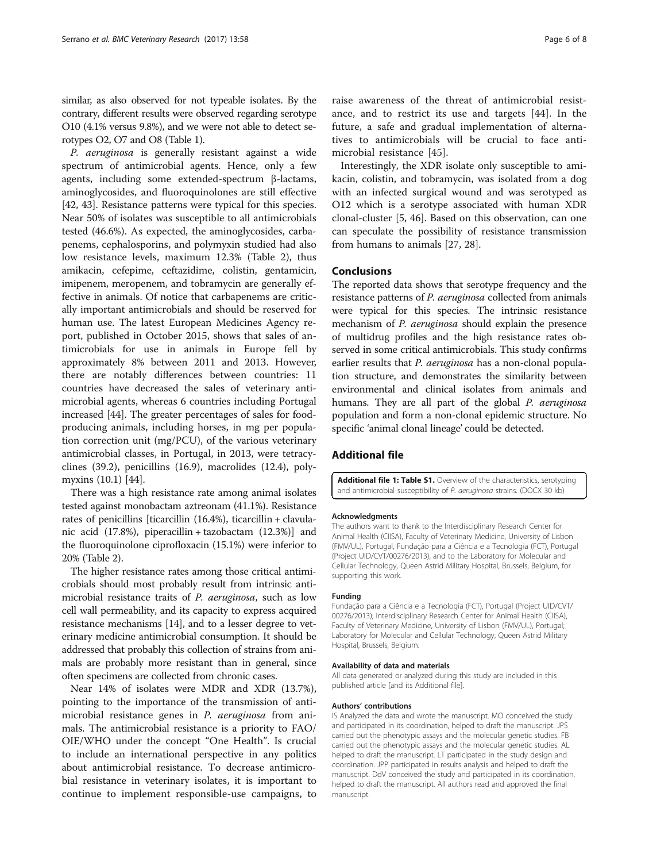<span id="page-5-0"></span>similar, as also observed for not typeable isolates. By the contrary, different results were observed regarding serotype O10 (4.1% versus 9.8%), and we were not able to detect serotypes O2, O7 and O8 (Table [1\)](#page-2-0).

P. aeruginosa is generally resistant against a wide spectrum of antimicrobial agents. Hence, only a few agents, including some extended-spectrum β-lactams, aminoglycosides, and fluoroquinolones are still effective [[42, 43\]](#page-7-0). Resistance patterns were typical for this species. Near 50% of isolates was susceptible to all antimicrobials tested (46.6%). As expected, the aminoglycosides, carbapenems, cephalosporins, and polymyxin studied had also low resistance levels, maximum 12.3% (Table [2](#page-3-0)), thus amikacin, cefepime, ceftazidime, colistin, gentamicin, imipenem, meropenem, and tobramycin are generally effective in animals. Of notice that carbapenems are critically important antimicrobials and should be reserved for human use. The latest European Medicines Agency report, published in October 2015, shows that sales of antimicrobials for use in animals in Europe fell by approximately 8% between 2011 and 2013. However, there are notably differences between countries: 11 countries have decreased the sales of veterinary antimicrobial agents, whereas 6 countries including Portugal increased [\[44](#page-7-0)]. The greater percentages of sales for foodproducing animals, including horses, in mg per population correction unit (mg/PCU), of the various veterinary antimicrobial classes, in Portugal, in 2013, were tetracyclines (39.2), penicillins (16.9), macrolides (12.4), polymyxins (10.1) [\[44\]](#page-7-0).

There was a high resistance rate among animal isolates tested against monobactam aztreonam (41.1%). Resistance rates of penicillins [ticarcillin (16.4%), ticarcillin + clavulanic acid (17.8%), piperacillin + tazobactam (12.3%)] and the fluoroquinolone ciprofloxacin (15.1%) were inferior to 20% (Table [2](#page-3-0)).

The higher resistance rates among those critical antimicrobials should most probably result from intrinsic antimicrobial resistance traits of P. aeruginosa, such as low cell wall permeability, and its capacity to express acquired resistance mechanisms [[14](#page-6-0)], and to a lesser degree to veterinary medicine antimicrobial consumption. It should be addressed that probably this collection of strains from animals are probably more resistant than in general, since often specimens are collected from chronic cases.

Near 14% of isolates were MDR and XDR (13.7%), pointing to the importance of the transmission of antimicrobial resistance genes in P. aeruginosa from animals. The antimicrobial resistance is a priority to FAO/ OIE/WHO under the concept "One Health". Is crucial to include an international perspective in any politics about antimicrobial resistance. To decrease antimicrobial resistance in veterinary isolates, it is important to continue to implement responsible-use campaigns, to raise awareness of the threat of antimicrobial resistance, and to restrict its use and targets [[44\]](#page-7-0). In the future, a safe and gradual implementation of alternatives to antimicrobials will be crucial to face antimicrobial resistance [[45](#page-7-0)].

Interestingly, the XDR isolate only susceptible to amikacin, colistin, and tobramycin, was isolated from a dog with an infected surgical wound and was serotyped as O12 which is a serotype associated with human XDR clonal-cluster [\[5](#page-6-0), [46](#page-7-0)]. Based on this observation, can one can speculate the possibility of resistance transmission from humans to animals [\[27](#page-6-0), [28](#page-6-0)].

### Conclusions

The reported data shows that serotype frequency and the resistance patterns of *P. aeruginosa* collected from animals were typical for this species. The intrinsic resistance mechanism of *P. aeruginosa* should explain the presence of multidrug profiles and the high resistance rates observed in some critical antimicrobials. This study confirms earlier results that P. aeruginosa has a non-clonal population structure, and demonstrates the similarity between environmental and clinical isolates from animals and humans. They are all part of the global P. aeruginosa population and form a non-clonal epidemic structure. No specific 'animal clonal lineage' could be detected.

### Additional file

[Additional file 1: Table S1.](dx.doi.org/10.1186/s12917-017-0977-8) Overview of the characteristics, serotyping and antimicrobial susceptibility of P. aeruginosa strains. (DOCX 30 kb)

#### Acknowledgments

The authors want to thank to the Interdisciplinary Research Center for Animal Health (CIISA), Faculty of Veterinary Medicine, University of Lisbon (FMV/UL), Portugal, Fundação para a Ciência e a Tecnologia (FCT), Portugal (Project UID/CVT/00276/2013), and to the Laboratory for Molecular and Cellular Technology, Queen Astrid Military Hospital, Brussels, Belgium, for supporting this work.

#### Funding

Fundação para a Ciência e a Tecnologia (FCT), Portugal (Project UID/CVT/ 00276/2013); Interdisciplinary Research Center for Animal Health (CIISA), Faculty of Veterinary Medicine, University of Lisbon (FMV/UL), Portugal; Laboratory for Molecular and Cellular Technology, Queen Astrid Military Hospital, Brussels, Belgium.

#### Availability of data and materials

All data generated or analyzed during this study are included in this published article [and its Additional file].

#### Authors' contributions

IS Analyzed the data and wrote the manuscript. MO conceived the study and participated in its coordination, helped to draft the manuscript. JPS carried out the phenotypic assays and the molecular genetic studies. FB carried out the phenotypic assays and the molecular genetic studies. AL helped to draft the manuscript. LT participated in the study design and coordination. JPP participated in results analysis and helped to draft the manuscript. DdV conceived the study and participated in its coordination, helped to draft the manuscript. All authors read and approved the final manuscript.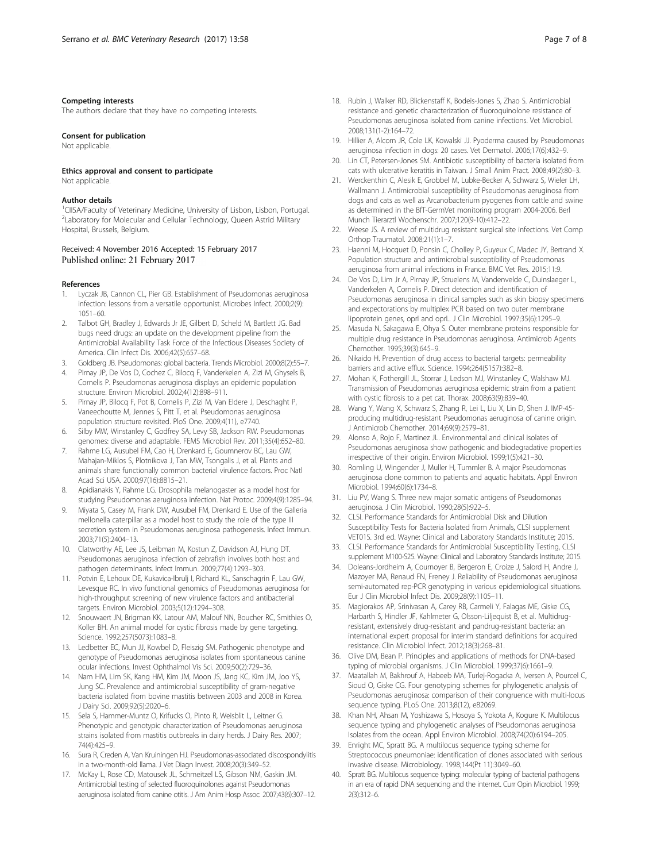#### <span id="page-6-0"></span>Competing interests

The authors declare that they have no competing interests.

#### Consent for publication

Not applicable.

#### Ethics approval and consent to participate

Not applicable.

### Author details

<sup>1</sup>CIISA/Faculty of Veterinary Medicine, University of Lisbon, Lisbon, Portugal. <sup>2</sup> Laboratory for Molecular and Cellular Technology, Queen Astrid Military Hospital, Brussels, Belgium.

### Received: 4 November 2016 Accepted: 15 February 2017 Published online: 21 February 2017

#### References

- 1. Lyczak JB, Cannon CL, Pier GB. Establishment of Pseudomonas aeruginosa infection: lessons from a versatile opportunist. Microbes Infect. 2000;2(9): 1051–60.
- 2. Talbot GH, Bradley J, Edwards Jr JE, Gilbert D, Scheld M, Bartlett JG. Bad bugs need drugs: an update on the development pipeline from the Antimicrobial Availability Task Force of the Infectious Diseases Society of America. Clin Infect Dis. 2006;42(5):657–68.
- 3. Goldberg JB. Pseudomonas: global bacteria. Trends Microbiol. 2000;8(2):55–7.
- 4. Pirnay JP, De Vos D, Cochez C, Bilocq F, Vanderkelen A, Zizi M, Ghysels B, Cornelis P. Pseudomonas aeruginosa displays an epidemic population structure. Environ Microbiol. 2002;4(12):898–911.
- 5. Pirnay JP, Bilocq F, Pot B, Cornelis P, Zizi M, Van Eldere J, Deschaght P, Vaneechoutte M, Jennes S, Pitt T, et al. Pseudomonas aeruginosa population structure revisited. PloS One. 2009;4(11), e7740.
- 6. Silby MW, Winstanley C, Godfrey SA, Levy SB, Jackson RW. Pseudomonas genomes: diverse and adaptable. FEMS Microbiol Rev. 2011;35(4):652–80.
- 7. Rahme LG, Ausubel FM, Cao H, Drenkard E, Goumnerov BC, Lau GW, Mahajan-Miklos S, Plotnikova J, Tan MW, Tsongalis J, et al. Plants and animals share functionally common bacterial virulence factors. Proc Natl Acad Sci USA. 2000;97(16):8815–21.
- 8. Apidianakis Y, Rahme LG. Drosophila melanogaster as a model host for studying Pseudomonas aeruginosa infection. Nat Protoc. 2009;4(9):1285–94.
- 9. Miyata S, Casey M, Frank DW, Ausubel FM, Drenkard E. Use of the Galleria mellonella caterpillar as a model host to study the role of the type III secretion system in Pseudomonas aeruginosa pathogenesis. Infect Immun. 2003;71(5):2404–13.
- 10. Clatworthy AE, Lee JS, Leibman M, Kostun Z, Davidson AJ, Hung DT. Pseudomonas aeruginosa infection of zebrafish involves both host and pathogen determinants. Infect Immun. 2009;77(4):1293–303.
- 11. Potvin E, Lehoux DE, Kukavica-Ibrulj I, Richard KL, Sanschagrin F, Lau GW, Levesque RC. In vivo functional genomics of Pseudomonas aeruginosa for high-throughput screening of new virulence factors and antibacterial targets. Environ Microbiol. 2003;5(12):1294–308.
- 12. Snouwaert JN, Brigman KK, Latour AM, Malouf NN, Boucher RC, Smithies O, Koller BH. An animal model for cystic fibrosis made by gene targeting. Science. 1992;257(5073):1083–8.
- 13. Ledbetter EC, Mun JJ, Kowbel D, Fleiszig SM. Pathogenic phenotype and genotype of Pseudomonas aeruginosa isolates from spontaneous canine ocular infections. Invest Ophthalmol Vis Sci. 2009;50(2):729–36.
- 14. Nam HM, Lim SK, Kang HM, Kim JM, Moon JS, Jang KC, Kim JM, Joo YS, Jung SC. Prevalence and antimicrobial susceptibility of gram-negative bacteria isolated from bovine mastitis between 2003 and 2008 in Korea. J Dairy Sci. 2009;92(5):2020–6.
- 15. Sela S, Hammer-Muntz O, Krifucks O, Pinto R, Weisblit L, Leitner G. Phenotypic and genotypic characterization of Pseudomonas aeruginosa strains isolated from mastitis outbreaks in dairy herds. J Dairy Res. 2007; 74(4):425–9.
- 16. Sura R, Creden A, Van Kruiningen HJ. Pseudomonas-associated discospondylitis in a two-month-old llama. J Vet Diagn Invest. 2008;20(3):349–52.
- 17. McKay L, Rose CD, Matousek JL, Schmeitzel LS, Gibson NM, Gaskin JM. Antimicrobial testing of selected fluoroquinolones against Pseudomonas aeruginosa isolated from canine otitis. J Am Anim Hosp Assoc. 2007;43(6):307–12.
- 18. Rubin J, Walker RD, Blickenstaff K, Bodeis-Jones S, Zhao S. Antimicrobial resistance and genetic characterization of fluoroquinolone resistance of Pseudomonas aeruginosa isolated from canine infections. Vet Microbiol. 2008;131(1-2):164–72.
- 19. Hillier A, Alcorn JR, Cole LK, Kowalski JJ. Pyoderma caused by Pseudomonas aeruginosa infection in dogs: 20 cases. Vet Dermatol. 2006;17(6):432–9.
- 20. Lin CT, Petersen-Jones SM. Antibiotic susceptibility of bacteria isolated from cats with ulcerative keratitis in Taiwan. J Small Anim Pract. 2008;49(2):80–3.
- 21. Werckenthin C, Alesik E, Grobbel M, Lubke-Becker A, Schwarz S, Wieler LH, Wallmann J. Antimicrobial susceptibility of Pseudomonas aeruginosa from dogs and cats as well as Arcanobacterium pyogenes from cattle and swine as determined in the BfT-GermVet monitoring program 2004-2006. Berl Munch Tierarztl Wochenschr. 2007;120(9-10):412–22.
- 22. Weese JS. A review of multidrug resistant surgical site infections. Vet Comp Orthop Traumatol. 2008;21(1):1–7.
- 23. Haenni M, Hocquet D, Ponsin C, Cholley P, Guyeux C, Madec JY, Bertrand X. Population structure and antimicrobial susceptibility of Pseudomonas aeruginosa from animal infections in France. BMC Vet Res. 2015;11:9.
- 24. De Vos D, Lim Jr A, Pirnay JP, Struelens M, Vandenvelde C, Duinslaeger L, Vanderkelen A, Cornelis P. Direct detection and identification of Pseudomonas aeruginosa in clinical samples such as skin biopsy specimens and expectorations by multiplex PCR based on two outer membrane lipoprotein genes, oprl and oprL. J Clin Microbiol. 1997;35(6):1295-9.
- 25. Masuda N, Sakagawa E, Ohya S. Outer membrane proteins responsible for multiple drug resistance in Pseudomonas aeruginosa. Antimicrob Agents Chemother. 1995;39(3):645–9.
- 26. Nikaido H. Prevention of drug access to bacterial targets: permeability barriers and active efflux. Science. 1994;264(5157):382–8.
- 27. Mohan K, Fothergill JL, Storrar J, Ledson MJ, Winstanley C, Walshaw MJ. Transmission of Pseudomonas aeruginosa epidemic strain from a patient with cystic fibrosis to a pet cat. Thorax. 2008;63(9):839–40.
- 28. Wang Y, Wang X, Schwarz S, Zhang R, Lei L, Liu X, Lin D, Shen J. IMP-45 producing multidrug-resistant Pseudomonas aeruginosa of canine origin. J Antimicrob Chemother. 2014;69(9):2579–81.
- 29. Alonso A, Rojo F, Martinez JL. Environmental and clinical isolates of Pseudomonas aeruginosa show pathogenic and biodegradative properties irrespective of their origin. Environ Microbiol. 1999;1(5):421–30.
- 30. Romling U, Wingender J, Muller H, Tummler B. A major Pseudomonas aeruginosa clone common to patients and aquatic habitats. Appl Environ Microbiol. 1994;60(6):1734–8.
- 31. Liu PV, Wang S. Three new major somatic antigens of Pseudomonas aeruginosa. J Clin Microbiol. 1990;28(5):922–5.
- 32. CLSI. Performance Standards for Antimicrobial Disk and Dilution Susceptibility Tests for Bacteria Isolated from Animals, CLSI supplement VET01S. 3rd ed. Wayne: Clinical and Laboratory Standards Institute; 2015.
- 33. CLSI. Performance Standards for Antimicrobial Susceptibility Testing, CLSI supplement M100-S25. Wayne: Clinical and Laboratory Standards Institute; 2015.
- 34. Doleans-Jordheim A, Cournoyer B, Bergeron E, Croize J, Salord H, Andre J, Mazoyer MA, Renaud FN, Freney J. Reliability of Pseudomonas aeruginosa semi-automated rep-PCR genotyping in various epidemiological situations. Eur J Clin Microbiol Infect Dis. 2009;28(9):1105–11.
- 35. Magiorakos AP, Srinivasan A, Carey RB, Carmeli Y, Falagas ME, Giske CG, Harbarth S, Hindler JF, Kahlmeter G, Olsson-Liljequist B, et al. Multidrugresistant, extensively drug-resistant and pandrug-resistant bacteria: an international expert proposal for interim standard definitions for acquired resistance. Clin Microbiol Infect. 2012;18(3):268–81.
- 36. Olive DM, Bean P. Principles and applications of methods for DNA-based typing of microbial organisms. J Clin Microbiol. 1999;37(6):1661–9.
- 37. Maatallah M, Bakhrouf A, Habeeb MA, Turlej-Rogacka A, Iversen A, Pourcel C, Sioud O, Giske CG. Four genotyping schemes for phylogenetic analysis of Pseudomonas aeruginosa: comparison of their congruence with multi-locus sequence typing. PLoS One. 2013;8(12), e82069.
- 38. Khan NH, Ahsan M, Yoshizawa S, Hosoya S, Yokota A, Kogure K. Multilocus sequence typing and phylogenetic analyses of Pseudomonas aeruginosa Isolates from the ocean. Appl Environ Microbiol. 2008;74(20):6194–205.
- 39. Enright MC, Spratt BG. A multilocus sequence typing scheme for Streptococcus pneumoniae: identification of clones associated with serious invasive disease. Microbiology. 1998;144(Pt 11):3049–60.
- 40. Spratt BG. Multilocus sequence typing: molecular typing of bacterial pathogens in an era of rapid DNA sequencing and the internet. Curr Opin Microbiol. 1999; 2(3):312–6.